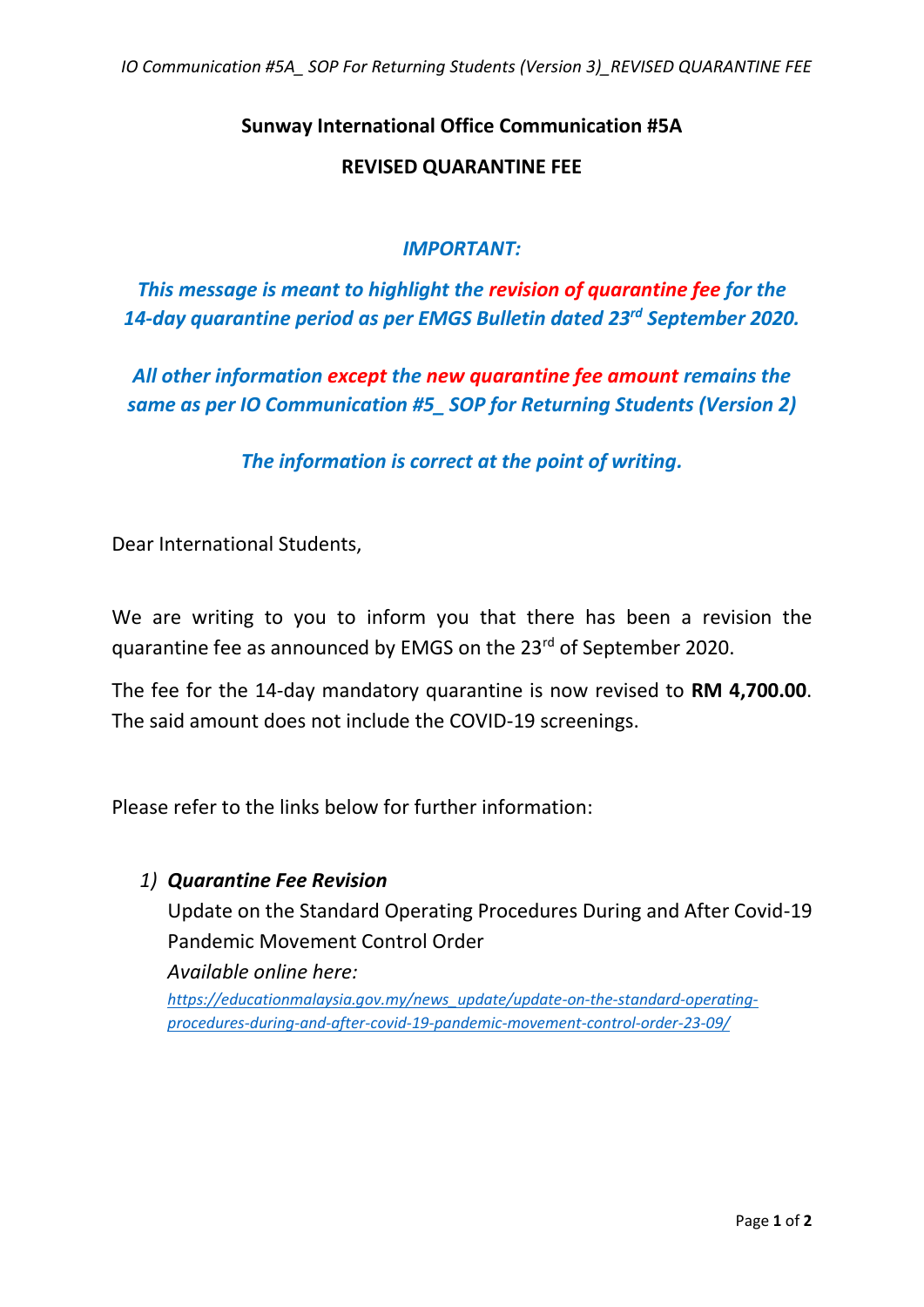# **Sunway International Office Communication #5A**

#### **REVISED QUARANTINE FEE**

## *IMPORTANT:*

*This message is meant to highlight the revision of quarantine fee for the 14-day quarantine period as per EMGS Bulletin dated 23rd September 2020.*

*All other information except the new quarantine fee amount remains the same as per IO Communication #5\_ SOP for Returning Students (Version 2)*

*The information is correct at the point of writing.*

Dear International Students,

We are writing to you to inform you that there has been a revision the quarantine fee as announced by EMGS on the 23rd of September 2020.

The fee for the 14-day mandatory quarantine is now revised to **RM 4,700.00**. The said amount does not include the COVID-19 screenings.

Please refer to the links below for further information:

#### *1) Quarantine Fee Revision*

Update on the Standard Operating Procedures During and After Covid-19 Pandemic Movement Control Order

*Available online here:*

*[https://educationmalaysia.gov.my/news\\_update/update-on-the-standard-operating](https://educationmalaysia.gov.my/news_update/update-on-the-standard-operating-procedures-during-and-after-covid-19-pandemic-movement-control-order-23-09/)[procedures-during-and-after-covid-19-pandemic-movement-control-order-23-09/](https://educationmalaysia.gov.my/news_update/update-on-the-standard-operating-procedures-during-and-after-covid-19-pandemic-movement-control-order-23-09/)*